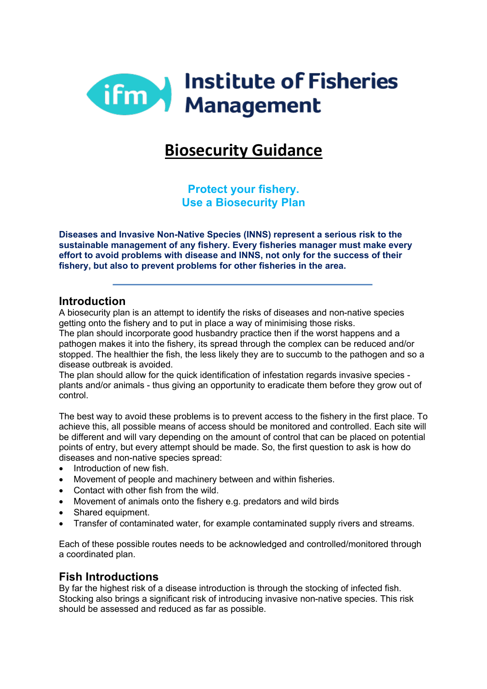

# **Biosecurity Guidance**

**Protect your fishery. Use a Biosecurity Plan**

**Diseases and Invasive Non-Native Species (INNS) represent a serious risk to the sustainable management of any fishery. Every fisheries manager must make every effort to avoid problems with disease and INNS, not only for the success of their fishery, but also to prevent problems for other fisheries in the area.**

#### **Introduction**

A biosecurity plan is an attempt to identify the risks of diseases and non-native species getting onto the fishery and to put in place a way of minimising those risks.

The plan should incorporate good husbandry practice then if the worst happens and a pathogen makes it into the fishery, its spread through the complex can be reduced and/or stopped. The healthier the fish, the less likely they are to succumb to the pathogen and so a disease outbreak is avoided.

The plan should allow for the quick identification of infestation regards invasive species plants and/or animals - thus giving an opportunity to eradicate them before they grow out of control.

The best way to avoid these problems is to prevent access to the fishery in the first place. To achieve this, all possible means of access should be monitored and controlled. Each site will be different and will vary depending on the amount of control that can be placed on potential points of entry, but every attempt should be made. So, the first question to ask is how do diseases and non-native species spread:

- Introduction of new fish.
- Movement of people and machinery between and within fisheries.
- Contact with other fish from the wild.
- Movement of animals onto the fishery e.g. predators and wild birds
- Shared equipment.
- Transfer of contaminated water, for example contaminated supply rivers and streams.

Each of these possible routes needs to be acknowledged and controlled/monitored through a coordinated plan.

#### **Fish Introductions**

By far the highest risk of a disease introduction is through the stocking of infected fish. Stocking also brings a significant risk of introducing invasive non-native species. This risk should be assessed and reduced as far as possible.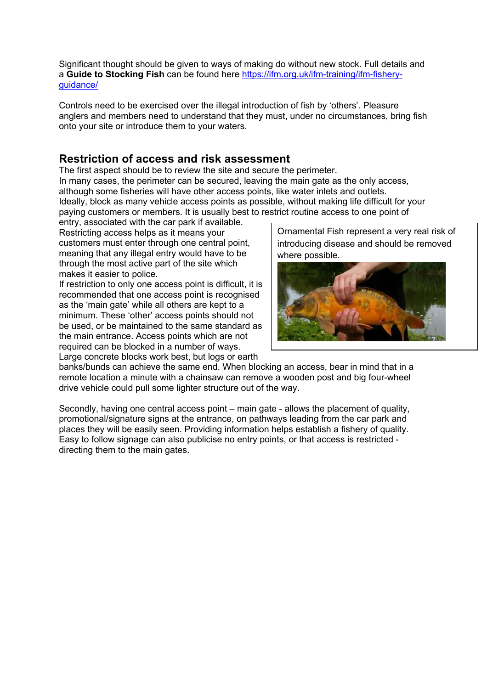Significant thought should be given to ways of making do without new stock. Full details and a **Guide to Stocking Fish** can be found here https://ifm.org.uk/ifm-training/ifm-fisheryguidance/

Controls need to be exercised over the illegal introduction of fish by 'others'. Pleasure anglers and members need to understand that they must, under no circumstances, bring fish onto your site or introduce them to your waters.

## **Restriction of access and risk assessment**

The first aspect should be to review the site and secure the perimeter. In many cases, the perimeter can be secured, leaving the main gate as the only access, although some fisheries will have other access points, like water inlets and outlets. Ideally, block as many vehicle access points as possible, without making life difficult for your paying customers or members. It is usually best to restrict routine access to one point of

entry, associated with the car park if available. Restricting access helps as it means your customers must enter through one central point, meaning that any illegal entry would have to be through the most active part of the site which makes it easier to police.

If restriction to only one access point is difficult, it is recommended that one access point is recognised as the 'main gate' while all others are kept to a minimum. These 'other' access points should not be used, or be maintained to the same standard as the main entrance. Access points which are not required can be blocked in a number of ways. Large concrete blocks work best, but logs or earth

Ornamental Fish represent a very real risk of introducing disease and should be removed where possible.



banks/bunds can achieve the same end. When blocking an access, bear in mind that in a remote location a minute with a chainsaw can remove a wooden post and big four-wheel drive vehicle could pull some lighter structure out of the way.

Secondly, having one central access point – main gate - allows the placement of quality, promotional/signature signs at the entrance, on pathways leading from the car park and places they will be easily seen. Providing information helps establish a fishery of quality. Easy to follow signage can also publicise no entry points, or that access is restricted directing them to the main gates.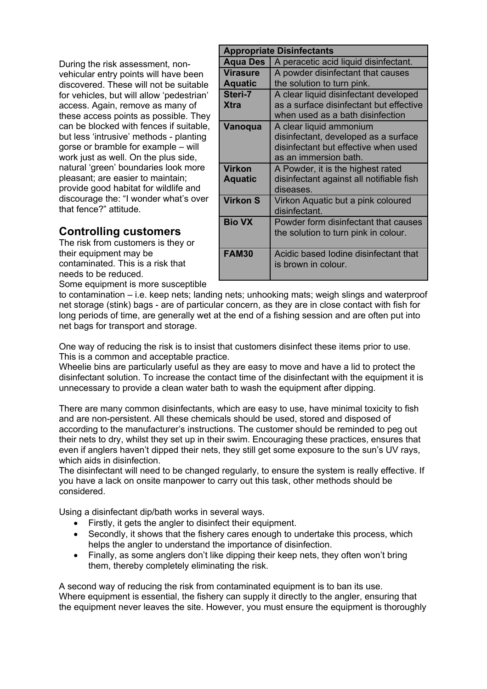During the risk assessment, nonvehicular entry points will have been discovered. These will not be suitable for vehicles, but will allow 'pedestrian' access. Again, remove as many of these access points as possible. They can be blocked with fences if suitable, but less 'intrusive' methods - planting gorse or bramble for example – will work just as well. On the plus side, natural 'green' boundaries look more pleasant; are easier to maintain; provide good habitat for wildlife and discourage the: "I wonder what's over that fence?" attitude.

# **Controlling customers**

The risk from customers is they or their equipment may be contaminated. This is a risk that needs to be reduced.

| <b>Appropriate Disinfectants</b> |                                                                                                                                  |
|----------------------------------|----------------------------------------------------------------------------------------------------------------------------------|
| <b>Aqua Des</b>                  | A peracetic acid liquid disinfectant.                                                                                            |
| <b>Virasure</b>                  | A powder disinfectant that causes                                                                                                |
| <b>Aquatic</b>                   | the solution to turn pink.                                                                                                       |
| Steri-7                          | A clear liquid disinfectant developed                                                                                            |
| <b>Xtra</b>                      | as a surface disinfectant but effective<br>when used as a bath disinfection                                                      |
| Vanoqua                          | A clear liquid ammonium<br>disinfectant, developed as a surface<br>disinfectant but effective when used<br>as an immersion bath. |
| Virkon<br><b>Aquatic</b>         | A Powder, it is the highest rated<br>disinfectant against all notifiable fish<br>diseases.                                       |
| <b>Virkon S</b>                  | Virkon Aquatic but a pink coloured<br>disinfectant.                                                                              |
| <b>Bio VX</b>                    | Powder form disinfectant that causes<br>the solution to turn pink in colour.                                                     |
| <b>FAM30</b>                     | Acidic based lodine disinfectant that<br>is brown in colour.                                                                     |

Some equipment is more susceptible

to contamination – i.e. keep nets; landing nets; unhooking mats; weigh slings and waterproof net storage (stink) bags - are of particular concern, as they are in close contact with fish for long periods of time, are generally wet at the end of a fishing session and are often put into net bags for transport and storage.

One way of reducing the risk is to insist that customers disinfect these items prior to use. This is a common and acceptable practice.

Wheelie bins are particularly useful as they are easy to move and have a lid to protect the disinfectant solution. To increase the contact time of the disinfectant with the equipment it is unnecessary to provide a clean water bath to wash the equipment after dipping.

There are many common disinfectants, which are easy to use, have minimal toxicity to fish and are non-persistent. All these chemicals should be used, stored and disposed of according to the manufacturer's instructions. The customer should be reminded to peg out their nets to dry, whilst they set up in their swim. Encouraging these practices, ensures that even if anglers haven't dipped their nets, they still get some exposure to the sun's UV rays, which aids in disinfection

The disinfectant will need to be changed regularly, to ensure the system is really effective. If you have a lack on onsite manpower to carry out this task, other methods should be considered.

Using a disinfectant dip/bath works in several ways.

- Firstly, it gets the angler to disinfect their equipment.
- Secondly, it shows that the fishery cares enough to undertake this process, which helps the angler to understand the importance of disinfection.
- Finally, as some anglers don't like dipping their keep nets, they often won't bring them, thereby completely eliminating the risk.

A second way of reducing the risk from contaminated equipment is to ban its use. Where equipment is essential, the fishery can supply it directly to the angler, ensuring that the equipment never leaves the site. However, you must ensure the equipment is thoroughly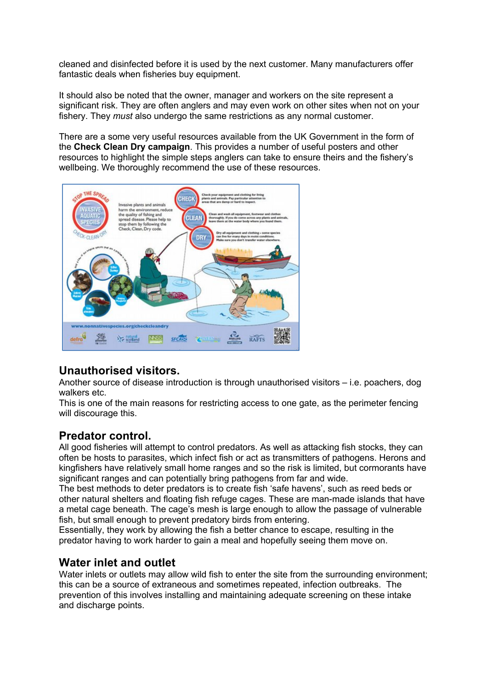cleaned and disinfected before it is used by the next customer. Many manufacturers offer fantastic deals when fisheries buy equipment.

It should also be noted that the owner, manager and workers on the site represent a significant risk. They are often anglers and may even work on other sites when not on your fishery. They *must* also undergo the same restrictions as any normal customer.

There are a some very useful resources available from the UK Government in the form of the **Check Clean Dry campaign**. This provides a number of useful posters and other resources to highlight the simple steps anglers can take to ensure theirs and the fishery's wellbeing. We thoroughly recommend the use of these resources.



# **Unauthorised visitors.**

Another source of disease introduction is through unauthorised visitors – i.e. poachers, dog walkers etc.

This is one of the main reasons for restricting access to one gate, as the perimeter fencing will discourage this.

### **Predator control.**

All good fisheries will attempt to control predators. As well as attacking fish stocks, they can often be hosts to parasites, which infect fish or act as transmitters of pathogens. Herons and kingfishers have relatively small home ranges and so the risk is limited, but cormorants have significant ranges and can potentially bring pathogens from far and wide.

The best methods to deter predators is to create fish 'safe havens', such as reed beds or other natural shelters and floating fish refuge cages. These are man-made islands that have a metal cage beneath. The cage's mesh is large enough to allow the passage of vulnerable fish, but small enough to prevent predatory birds from entering.

Essentially, they work by allowing the fish a better chance to escape, resulting in the predator having to work harder to gain a meal and hopefully seeing them move on.

### **Water inlet and outlet**

Water inlets or outlets may allow wild fish to enter the site from the surrounding environment; this can be a source of extraneous and sometimes repeated, infection outbreaks. The prevention of this involves installing and maintaining adequate screening on these intake and discharge points.